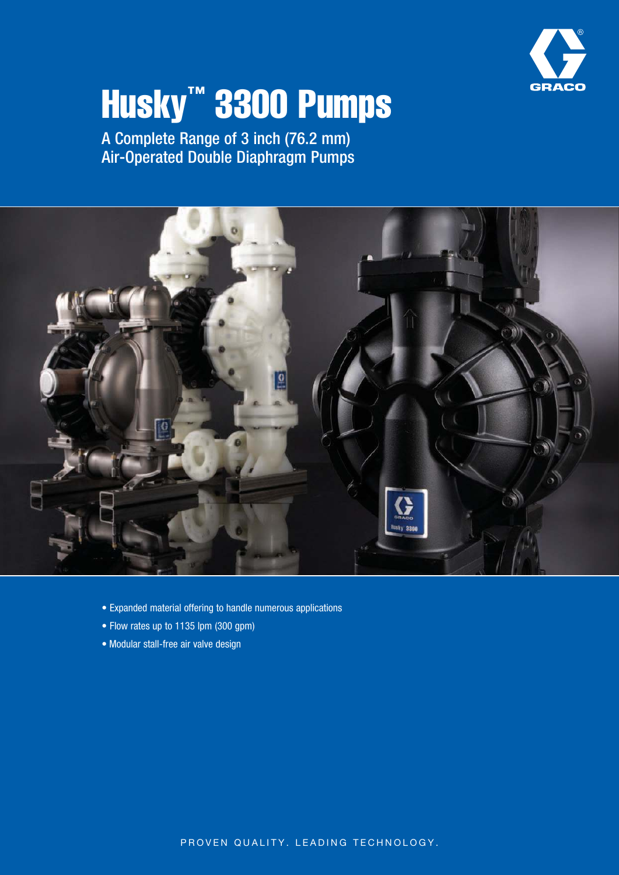

# Husky™ 3300 Pumps

A Complete Range of 3 inch (76.2 mm) Air-Operated Double Diaphragm Pumps



- Expanded material offering to handle numerous applications
- Flow rates up to 1135 lpm (300 gpm)
- Modular stall-free air valve design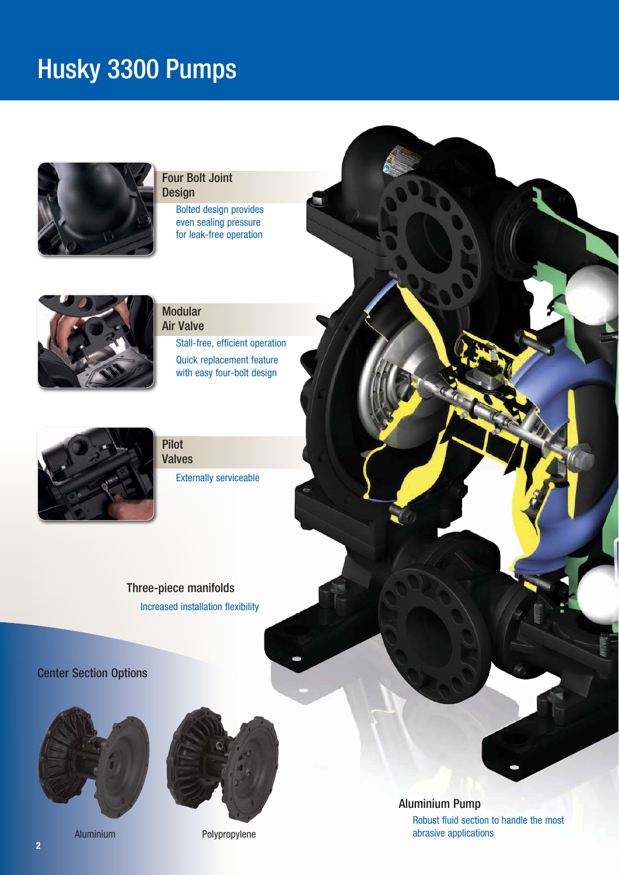# Husky 3300 Pumps



#### Four Bolt Joint Design

Bolted design provides even sealing pressure for leak-free operation



#### Modular Air Valve

Stall-free, efficient operation Quick replacement feature with easy four-bolt design



Pilot Valves

Externally serviceable

Three-piece manifolds Increased installation flexibility

Center Section Options





Aluminium Polypropylene

Aluminium Pump

Robust fluid section to handle the most abrasive applications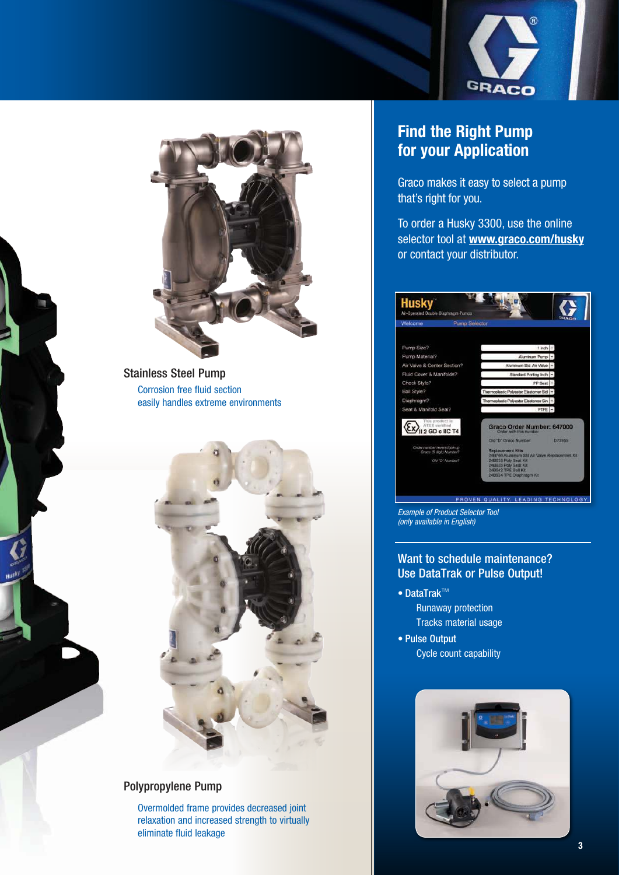



Stainless Steel Pump Corrosion free fluid section easily handles extreme environments



#### Polypropylene Pump

Overmolded frame provides decreased joint relaxation and increased strength to virtually eliminate fluid leakage

### Find the Right Pump for your Application

Graco makes it easy to select a pump that's right for you.

To order a Husky 3300, use the online selector tool at www.graco.com/husky or contact your distributor.



Example of Product Selector Tool (only available in English)

#### Want to schedule maintenance? Use DataTrak or Pulse Output!

- DataTrak™
	- Runaway protection Tracks material usage
- Pulse Output Cycle count capability